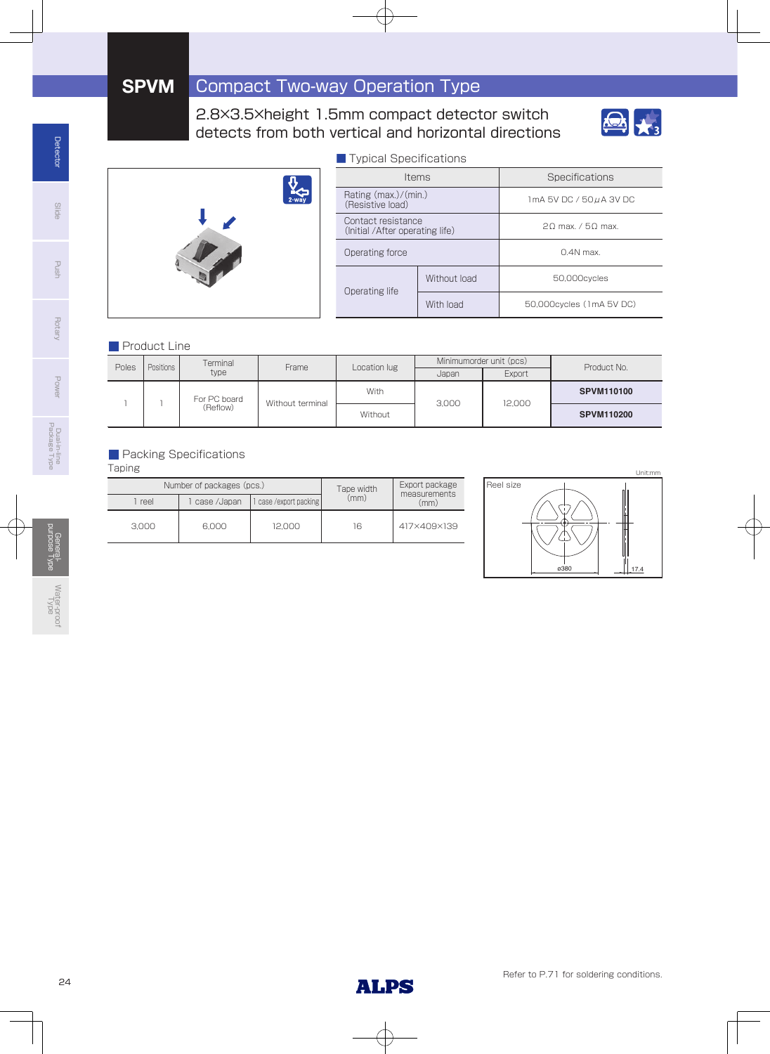### 2.8×3.5×height 1.5mm compact detector switch detects from both vertical and horizontal directions





| ■ Typical Specifications                               |              |                          |  |  |  |
|--------------------------------------------------------|--------------|--------------------------|--|--|--|
|                                                        | <b>Items</b> | Specifications           |  |  |  |
| Rating $(max.)/(min.)$<br>(Resistive load)             |              | 1mA 5V DC / 50 µ A 3V DC |  |  |  |
| Contact resistance<br>(Initial / After operating life) |              | 20 max. / 50 max.        |  |  |  |
| Operating force                                        |              | $0.4N$ max               |  |  |  |
| Operating life                                         | Without load | 50.000cvcles             |  |  |  |
|                                                        | With load    | 50,000cycles (1mA 5V DC) |  |  |  |

### **Product Line**

| Positions<br>Poles |              | Terminal         | Frame | Location lug | Minimumorder unit (pcs) |                   | Product No. |
|--------------------|--------------|------------------|-------|--------------|-------------------------|-------------------|-------------|
|                    |              | type             |       |              | Japan                   | Export            |             |
|                    | For PC board | Without terminal | With  | 3.000        | 12.000                  | <b>SPVM110100</b> |             |
| (Reflow)           |              | Without          |       |              | <b>SPVM110200</b>       |                   |             |

### **Packing Specifications**

Taping

|       | Number of packages (pcs.) | Tape width            | Export package<br>measurements |             |  |
|-------|---------------------------|-----------------------|--------------------------------|-------------|--|
| reel  | case /Japan               | case / export packing | (mm)                           | (mm)        |  |
| 3.000 | 12.000<br>6.000           |                       | 16                             | 417×409×139 |  |



General-

Power

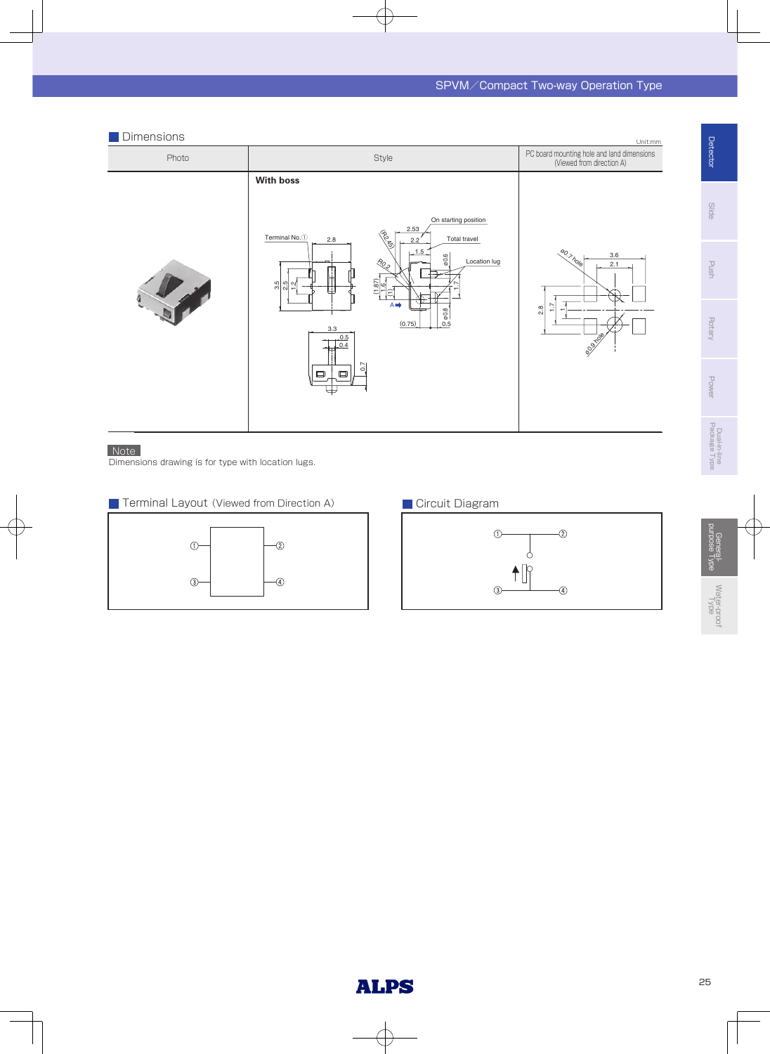#### Photo Unit:mm Style **PC board mounting hole and land dimensions**<br>(Viewed from direction A) **Dimensions** 2.8 3.6 2.1  $\mathbf$ eo.<br>eo.ge ø0.7 hole 1.7  $\frac{1.87}{1.6}$   $\sqrt{8}$   $\frac{1.67}{2.472}$ R0.2 2.2 2.53  $\widehat{\Xi}$ 0.5 1.7  $(0.75)$ 1.5 ø0.6 ø0.8  $0.4$ 0.5 0.7 3.3 3.5 .<br>م  $\tilde{c}$  $Terminal No. 1$  2.8 On starting position Total travel A Location lug **With boss**

### Note

Dimensions drawing is for type with location lugs.





Dual-in-line Package Type

Dual-in-line<br>Package Type

**Detector** 

**Slide** 

Push

**Rotary** 

Power

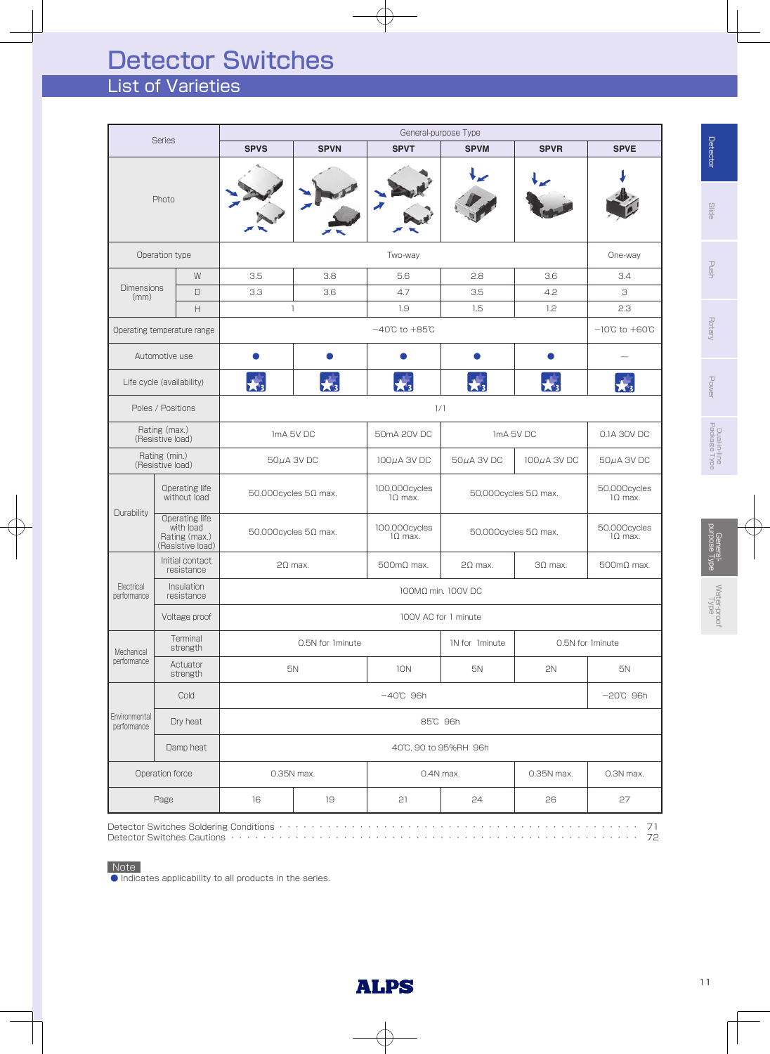# List of Varieties Detector Switches

| <b>Series</b>                                         |                                                                  | General-purpose Type  |                                |                                    |                                |                  |                                    |  |
|-------------------------------------------------------|------------------------------------------------------------------|-----------------------|--------------------------------|------------------------------------|--------------------------------|------------------|------------------------------------|--|
|                                                       |                                                                  | <b>SPVS</b>           | <b>SPVN</b>                    | <b>SPVT</b>                        | <b>SPVM</b>                    | <b>SPVR</b>      | <b>SPVE</b>                        |  |
|                                                       | Photo                                                            |                       |                                |                                    |                                |                  |                                    |  |
|                                                       | Operation type                                                   |                       |                                | Two-way                            |                                |                  | One-way                            |  |
|                                                       | W                                                                | 3.5                   | 3.8                            | 5.6                                | 2.8                            | 3.6              | 3.4                                |  |
| <b>Dimensions</b><br>(mm)                             | $\Box$                                                           | 3.3                   | 3.6                            | 4.7                                | 3.5                            | 4.2              | З                                  |  |
|                                                       | $\mathsf{H}% _{\mathbb{R}}^{1}\!\left( \mathbb{R}^{2}\right)$    |                       | $\mathbf{1}$                   | 1.9                                | 1.5                            | 1.2              | 2.3                                |  |
|                                                       | Operating temperature range                                      |                       |                                | $-40^{\circ}$ C to $+85^{\circ}$ C |                                |                  | $-10^{\circ}$ C to $+60^{\circ}$ C |  |
|                                                       | Automotive use                                                   |                       |                                |                                    |                                |                  |                                    |  |
|                                                       | Life cycle (availability)                                        | $\bigstar$            |                                | $\star$ <sub>3</sub>               | $\star$ <sub>3</sub>           |                  |                                    |  |
|                                                       | Poles / Positions                                                |                       |                                |                                    | 1/1                            |                  |                                    |  |
|                                                       | Rating (max.)<br>(Resistive load)                                | ImA 5V DC             |                                | 50mA 20V DC                        | ImA 5V DC                      |                  | 0.1A 30V DC                        |  |
| Rating (min.)<br>(Resistive load)                     |                                                                  | $50\mu$ A 3V DC       |                                | $100\mu$ A 3V DC                   | $50\mu$ A 3V DC                | $100\mu$ A 3V DC | $50\mu$ A 3V DC                    |  |
|                                                       | Operating life<br>without load                                   |                       | $50,000$ cycles $5\Omega$ max. | 100,000cycles<br>$1\Omega$ max.    | $50,000$ cycles $5\Omega$ max. |                  | 50,000cycles<br>$1\Omega$ max.     |  |
| Durability                                            | Operating life<br>with load<br>Rating (max.)<br>(Resistive load) |                       | $50,000$ cycles $5\Omega$ max. | 100,000cycles<br>$1\Omega$ max.    | $50,000$ cycles $5\Omega$ max. |                  | 50,000cycles<br>$1\Omega$ max.     |  |
|                                                       | Initial contact<br>resistance                                    |                       | $2\Omega$ max.                 | $500 \text{mA}$ max.               | $2\Omega$ max.                 | $3\Omega$ max.   | $500 \text{mA}$ max.               |  |
| Electrical<br>performance                             | Insulation<br>resistance                                         |                       |                                |                                    | 100MΩ min. 100V DC             |                  |                                    |  |
|                                                       | Voltage proof                                                    |                       |                                |                                    | 100V AC for 1 minute           |                  |                                    |  |
| Mechanical                                            | Terminal<br>strength                                             |                       | 0.5N for Iminute               |                                    | IN for Iminute                 |                  | 0.5N for Iminute                   |  |
| performance                                           | Actuator<br>strength                                             |                       | 5N                             | 10N                                | 5N                             | 2N               | 5N                                 |  |
|                                                       | Cold                                                             | $-40^{\circ}$ C 96h   |                                |                                    |                                |                  | $-20^{\circ}$ C 96h                |  |
| Environmental<br>Dry heat<br>performance<br>Damp heat |                                                                  | 85°C 96h              |                                |                                    |                                |                  |                                    |  |
|                                                       |                                                                  | 40°C, 90 to 95%RH 96h |                                |                                    |                                |                  |                                    |  |
| Operation force                                       |                                                                  |                       | 0.35N max.                     | 0.4N max.                          |                                | 0.35N max.       | 0.3N max.                          |  |
|                                                       | Page                                                             | 16                    | 19                             | 21                                 | 24                             | 26               | 27                                 |  |

● Indicates applicability to all products in the series.

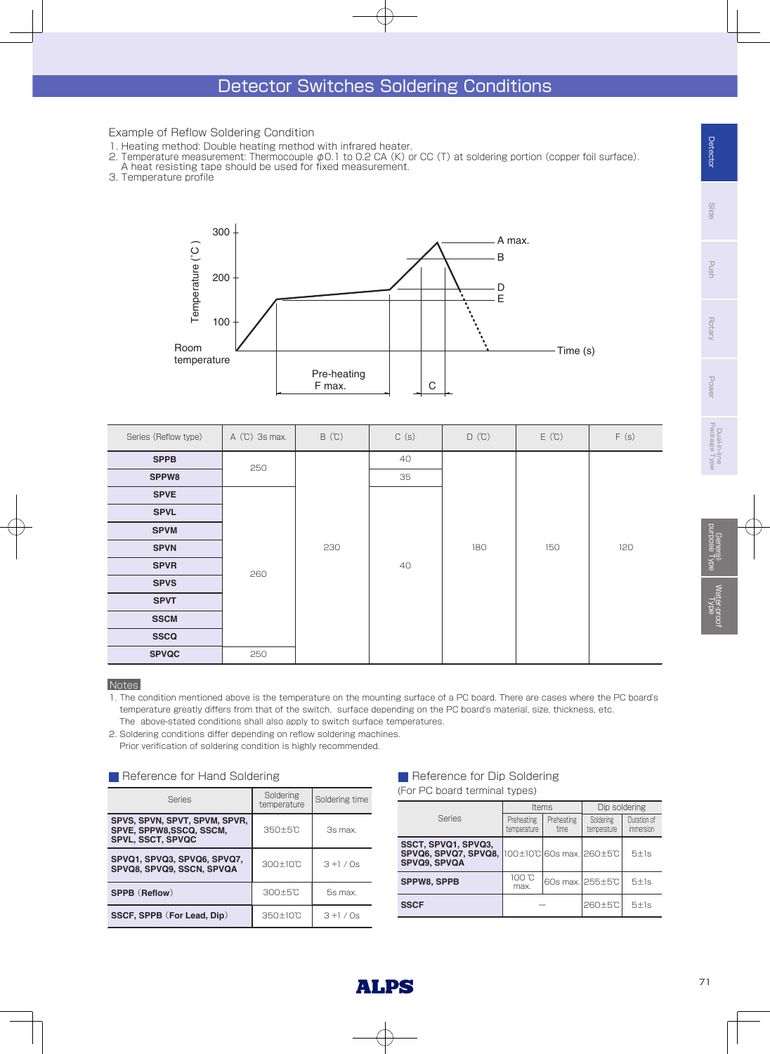### Example of Reflow Soldering Condition

- 1. Heating method: Double heating method with infrared heater.
- 2. Temperature measurement: Thermocouple φ0.1 to 0.2 CA (K) or CC (T) at soldering portion (copper foil surface).
- A heat resisting tape should be used for fixed measurement.
- 3. Temperature profile



| Series (Reflow type) | $A$ (°C) 3s max. | B(C) | C(s) | $D (C)$ | E(C) | F(s) |
|----------------------|------------------|------|------|---------|------|------|
| <b>SPPB</b>          | 250              | 230  | 40   | 180     | 150  | 120  |
| SPPW8                |                  |      | 35   |         |      |      |
| <b>SPVE</b>          |                  |      | 40   |         |      |      |
| <b>SPVL</b>          |                  |      |      |         |      |      |
| <b>SPVM</b>          |                  |      |      |         |      |      |
| <b>SPVN</b>          |                  |      |      |         |      |      |
| <b>SPVR</b>          | 260              |      |      |         |      |      |
| <b>SPVS</b>          |                  |      |      |         |      |      |
| <b>SPVT</b>          |                  |      |      |         |      |      |
| <b>SSCM</b>          |                  |      |      |         |      |      |
| <b>SSCQ</b>          |                  |      |      |         |      |      |
| <b>SPVQC</b>         | 250              |      |      |         |      |      |

### **Notes**

1. The condition mentioned above is the temperature on the mounting surface of a PC board. There are cases where the PC board's temperature greatly differs from that of the switch, surface depending on the PC board's material, size, thickness, etc. The above-stated conditions shall also apply to switch surface temperatures.

2. Soldering conditions differ depending on reflow soldering machines.

Prior verification of soldering condition is highly recommended.

### Reference for Hand Soldering

| <b>Series</b>                                                                        | Soldering<br>temperature | Soldering time |  |
|--------------------------------------------------------------------------------------|--------------------------|----------------|--|
| SPVS, SPVN, SPVT, SPVM, SPVR,<br>SPVE, SPPW8,SSCQ, SSCM,<br><b>SPVL, SSCT, SPVQC</b> | 350±5°C                  | 3s max.        |  |
| SPVQ1, SPVQ3, SPVQ6, SPVQ7,<br>SPVQ8, SPVQ9, SSCN, SPVQA                             | 300±10℃                  | $3 + 1 / 0s$   |  |
| SPPB (Reflow)                                                                        | $300 \pm 5$ °C           | 5s max.        |  |
| SSCF, SPPB (For Lead, Dip)                                                           | 350±10℃                  | $3 + 1 / 0s$   |  |

### Reference for Dip Soldering (For PC board terminal types)

|                                                                                       | Items                     |                    | Dip soldering            |                                 |  |
|---------------------------------------------------------------------------------------|---------------------------|--------------------|--------------------------|---------------------------------|--|
| <b>Series</b>                                                                         | Preheating<br>temperature | Preheating<br>time | Soldering<br>temperature | Duration of<br><i>immersion</i> |  |
| SSCT, SPVQ1, SPVQ3,<br>SPVQ6, SPVQ7, SPVQ8, 100±10°C 60s max. 260±5°C<br>SPVQ9, SPVQA |                           |                    |                          | 5±1s                            |  |
| <b>SPPW8, SPPB</b>                                                                    | 100 °C<br>max.            | 60s max. 255±5℃    |                          | 5±1s                            |  |
| <b>SSCF</b>                                                                           |                           |                    | 260±5°C                  | 5±1s                            |  |

Rotary